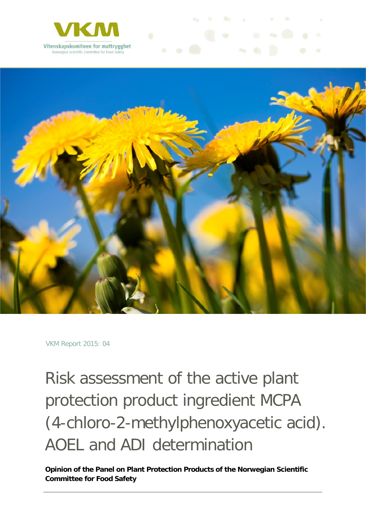



VKM Report 2015: 04

Risk assessment of the active plant protection product ingredient MCPA (4-chloro-2-methylphenoxyacetic acid). AOEL and ADI determination

**Opinion of the Panel on Plant Protection Products of the Norwegian Scientific Committee for Food Safety**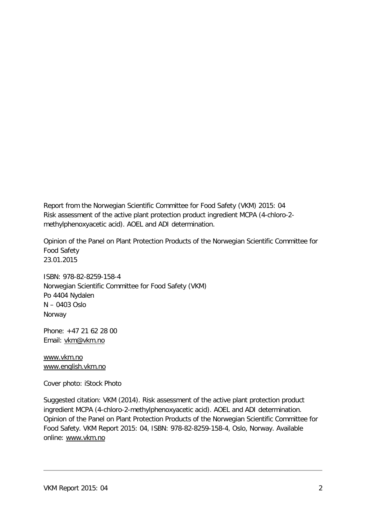Report from the Norwegian Scientific Committee for Food Safety (VKM) 2015: 04 Risk assessment of the active plant protection product ingredient MCPA (4-chloro-2 methylphenoxyacetic acid). AOEL and ADI determination.

Opinion of the Panel on Plant Protection Products of the Norwegian Scientific Committee for Food Safety 23.01.2015

ISBN: 978-82-8259-158-4 Norwegian Scientific Committee for Food Safety (VKM) Po 4404 Nydalen N – 0403 Oslo Norway

Phone: +47 21 62 28 00 Email: [vkm@vkm.no](mailto:vkm@vkm.no)

[www.vkm.no](http://www.vkm.no/) [www.english.vkm.no](http://www.english.vkm.no/)

Cover photo: iStock Photo

Suggested citation: VKM (2014). Risk assessment of the active plant protection product ingredient MCPA (4-chloro-2-methylphenoxyacetic acid). AOEL and ADI determination. Opinion of the Panel on Plant Protection Products of the Norwegian Scientific Committee for Food Safety. VKM Report 2015: 04, ISBN: 978-82-8259-158-4, Oslo, Norway. Available online: [www.vkm.no](http://www.vkm.no/)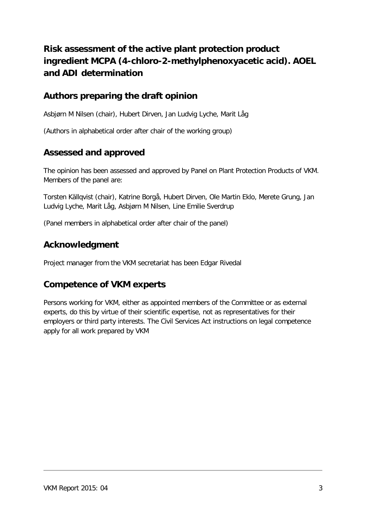## **Risk assessment of the active plant protection product ingredient MCPA (4-chloro-2-methylphenoxyacetic acid). AOEL and ADI determination**

## **Authors preparing the draft opinion**

Asbjørn M Nilsen (chair), Hubert Dirven, Jan Ludvig Lyche, Marit Låg

(Authors in alphabetical order after chair of the working group)

### **Assessed and approved**

The opinion has been assessed and approved by Panel on Plant Protection Products of VKM. Members of the panel are:

Torsten Källqvist (chair), Katrine Borgå, Hubert Dirven, Ole Martin Eklo, Merete Grung, Jan Ludvig Lyche, Marit Låg, Asbjørn M Nilsen, Line Emilie Sverdrup

(Panel members in alphabetical order after chair of the panel)

### **Acknowledgment**

Project manager from the VKM secretariat has been Edgar Rivedal

### **Competence of VKM experts**

Persons working for VKM, either as appointed members of the Committee or as external experts, do this by virtue of their scientific expertise, not as representatives for their employers or third party interests. The Civil Services Act instructions on legal competence apply for all work prepared by VKM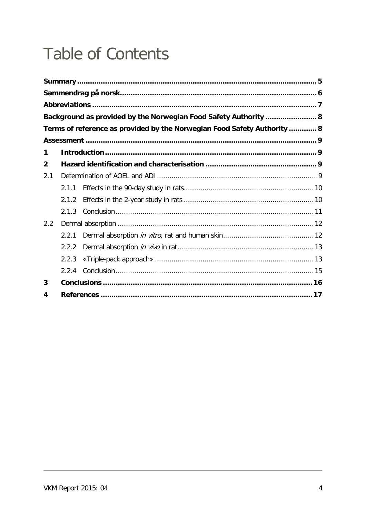# **Table of Contents**

|              |       | Background as provided by the Norwegian Food Safety Authority  8         |  |
|--------------|-------|--------------------------------------------------------------------------|--|
|              |       | Terms of reference as provided by the Norwegian Food Safety Authority  8 |  |
|              |       |                                                                          |  |
| 1            |       |                                                                          |  |
| $\mathbf{2}$ |       |                                                                          |  |
| 2.1          |       |                                                                          |  |
|              | 2.1.1 |                                                                          |  |
|              | 2.1.2 |                                                                          |  |
|              | 2.1.3 |                                                                          |  |
| 2.2          |       |                                                                          |  |
|              | 2.2.1 |                                                                          |  |
|              | 2.2.2 |                                                                          |  |
|              | 2.2.3 |                                                                          |  |
|              | 2.2.4 |                                                                          |  |
| 3            |       |                                                                          |  |
| 4            |       |                                                                          |  |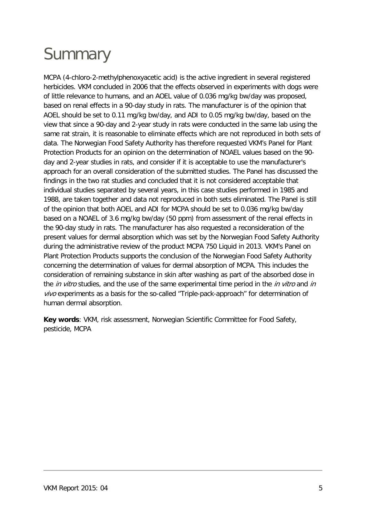# <span id="page-4-0"></span>**Summary**

MCPA (4-chloro-2-methylphenoxyacetic acid) is the active ingredient in several registered herbicides. VKM concluded in 2006 that the effects observed in experiments with dogs were of little relevance to humans, and an AOEL value of 0.036 mg/kg bw/day was proposed, based on renal effects in a 90-day study in rats. The manufacturer is of the opinion that AOEL should be set to 0.11 mg/kg bw/day, and ADI to 0.05 mg/kg bw/day, based on the view that since a 90-day and 2-year study in rats were conducted in the same lab using the same rat strain, it is reasonable to eliminate effects which are not reproduced in both sets of data. The Norwegian Food Safety Authority has therefore requested VKM's Panel for Plant Protection Products for an opinion on the determination of NOAEL values based on the 90 day and 2-year studies in rats, and consider if it is acceptable to use the manufacturer's approach for an overall consideration of the submitted studies. The Panel has discussed the findings in the two rat studies and concluded that it is not considered acceptable that individual studies separated by several years, in this case studies performed in 1985 and 1988, are taken together and data not reproduced in both sets eliminated. The Panel is still of the opinion that both AOEL and ADI for MCPA should be set to 0.036 mg/kg bw/day based on a NOAEL of 3.6 mg/kg bw/day (50 ppm) from assessment of the renal effects in the 90-day study in rats. The manufacturer has also requested a reconsideration of the present values for dermal absorption which was set by the Norwegian Food Safety Authority during the administrative review of the product MCPA 750 Liquid in 2013. VKM's Panel on Plant Protection Products supports the conclusion of the Norwegian Food Safety Authority concerning the determination of values for dermal absorption of MCPA. This includes the consideration of remaining substance in skin after washing as part of the absorbed dose in the in vitro studies, and the use of the same experimental time period in the in vitro and in vivo experiments as a basis for the so-called "Triple-pack-approach" for determination of human dermal absorption.

**Key words**: VKM, risk assessment, Norwegian Scientific Committee for Food Safety, pesticide, MCPA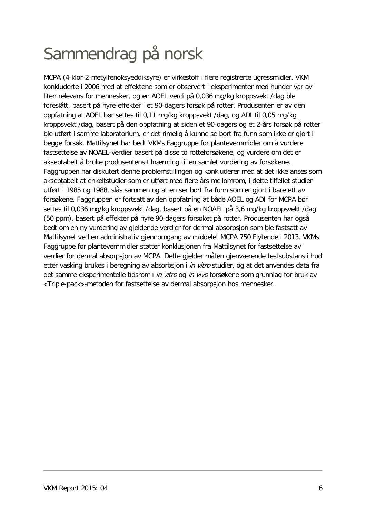# <span id="page-5-0"></span>Sammendrag på norsk

MCPA (4-klor-2-metylfenoksyeddiksyre) er virkestoff i flere registrerte ugressmidler. VKM konkluderte i 2006 med at effektene som er observert i eksperimenter med hunder var av liten relevans for mennesker, og en AOEL verdi på 0,036 mg/kg kroppsvekt /dag ble foreslått, basert på nyre-effekter i et 90-dagers forsøk på rotter. Produsenten er av den oppfatning at AOEL bør settes til 0,11 mg/kg kroppsvekt /dag, og ADI til 0,05 mg/kg kroppsvekt /dag, basert på den oppfatning at siden et 90-dagers og et 2-års forsøk på rotter ble utført i samme laboratorium, er det rimelig å kunne se bort fra funn som ikke er gjort i begge forsøk. Mattilsynet har bedt VKMs Faggruppe for plantevernmidler om å vurdere fastsettelse av NOAEL-verdier basert på disse to rotteforsøkene, og vurdere om det er akseptabelt å bruke produsentens tilnærming til en samlet vurdering av forsøkene. Faggruppen har diskutert denne problemstillingen og konkluderer med at det ikke anses som akseptabelt at enkeltstudier som er utført med flere års mellomrom, i dette tilfellet studier utført i 1985 og 1988, slås sammen og at en ser bort fra funn som er gjort i bare ett av forsøkene. Faggruppen er fortsatt av den oppfatning at både AOEL og ADI for MCPA bør settes til 0,036 mg/kg kroppsvekt /dag, basert på en NOAEL på 3,6 mg/kg kroppsvekt /dag (50 ppm), basert på effekter på nyre 90-dagers forsøket på rotter. Produsenten har også bedt om en ny vurdering av gjeldende verdier for dermal absorpsjon som ble fastsatt av Mattilsynet ved en administrativ gjennomgang av middelet MCPA 750 Flytende i 2013. VKMs Faggruppe for plantevernmidler støtter konklusjonen fra Mattilsynet for fastsettelse av verdier for dermal absorpsjon av MCPA. Dette gjelder måten gjenværende testsubstans i hud etter vasking brukes i beregning av absorbsjon i in vitro studier, og at det anvendes data fra det samme eksperimentelle tidsrom i *in vitro* og *in vivo* forsøkene som grunnlag for bruk av «Triple-pack»-metoden for fastsettelse av dermal absorpsjon hos mennesker.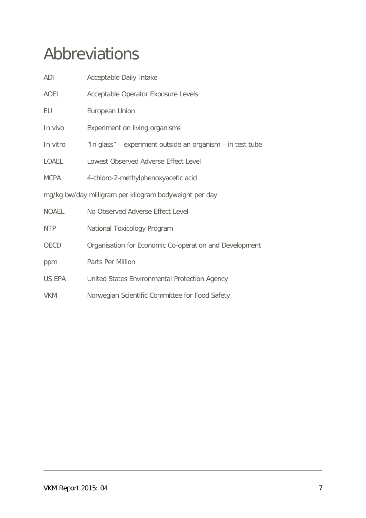# <span id="page-6-0"></span>Abbreviations

| ADI                                                    | Acceptable Daily Intake                                    |  |  |
|--------------------------------------------------------|------------------------------------------------------------|--|--|
| AOEL                                                   | Acceptable Operator Exposure Levels                        |  |  |
| EU                                                     | European Union                                             |  |  |
| In vivo                                                | Experiment on living organisms                             |  |  |
| In vitro                                               | "In glass" - experiment outside an organism - in test tube |  |  |
| LOAEL                                                  | Lowest Observed Adverse Effect Level                       |  |  |
| MCPA                                                   | 4-chloro-2-methylphenoxyacetic acid                        |  |  |
| mg/kg bw/day milligram per kilogram bodyweight per day |                                                            |  |  |
| <b>NOAEL</b>                                           | No Observed Adverse Effect Level                           |  |  |
| <b>NTP</b>                                             | National Toxicology Program                                |  |  |
| OECD                                                   | Organisation for Economic Co-operation and Development     |  |  |
| ppm                                                    | Parts Per Million                                          |  |  |
| US EPA                                                 | United States Environmental Protection Agency              |  |  |
| <b>VKM</b>                                             | Norwegian Scientific Committee for Food Safety             |  |  |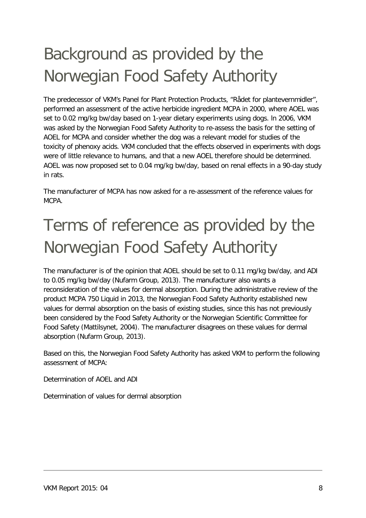# <span id="page-7-0"></span>Background as provided by the Norwegian Food Safety Authority

The predecessor of VKM's Panel for Plant Protection Products, "Rådet for plantevernmidler", performed an assessment of the active herbicide ingredient MCPA in 2000, where AOEL was set to 0.02 mg/kg bw/day based on 1-year dietary experiments using dogs. ln 2006, VKM was asked by the Norwegian Food Safety Authority to re-assess the basis for the setting of AOEL for MCPA and consider whether the dog was a relevant model for studies of the toxicity of phenoxy acids. VKM concluded that the effects observed in experiments with dogs were of little relevance to humans, and that a new AOEL therefore should be determined. AOEL was now proposed set to 0.04 mg/kg bw/day, based on renal effects in a 90-day study in rats.

The manufacturer of MCPA has now asked for a re-assessment of the reference values for MCPA.

# <span id="page-7-1"></span>Terms of reference as provided by the Norwegian Food Safety Authority

The manufacturer is of the opinion that AOEL should be set to 0.11 mg/kg bw/day, and ADI to 0.05 mg/kg bw/day [\(Nufarm Group, 2013\)](#page-16-1). The manufacturer also wants a reconsideration of the values for dermal absorption. During the administrative review of the product MCPA 750 Liquid in 2013, the Norwegian Food Safety Authority established new values for dermal absorption on the basis of existing studies, since this has not previously been considered by the Food Safety Authority or the Norwegian Scientific Committee for Food Safety [\(Mattilsynet, 2004\)](#page-16-2). The manufacturer disagrees on these values for dermal absorption [\(Nufarm Group, 2013\)](#page-16-1).

Based on this, the Norwegian Food Safety Authority has asked VKM to perform the following assessment of MCPA:

Determination of AOEL and ADI

Determination of values for dermal absorption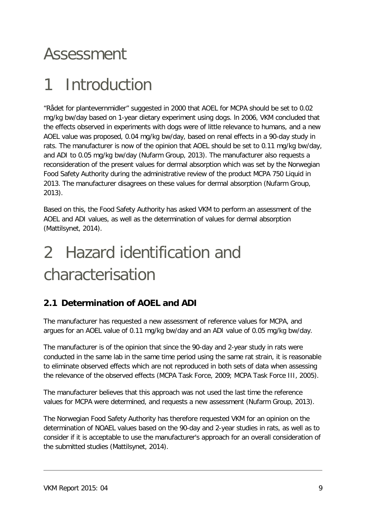## <span id="page-8-0"></span>Assessment

## <span id="page-8-1"></span>1 Introduction

"Rådet for plantevernmidler" suggested in 2000 that AOEL for MCPA should be set to 0.02 mg/kg bw/day based on 1-year dietary experiment using dogs. ln 2006, VKM concluded that the effects observed in experiments with dogs were of little relevance to humans, and a new AOEL value was proposed, 0.04 mg/kg bw/day, based on renal effects in a 90-day study in rats. The manufacturer is now of the opinion that AOEL should be set to 0.11 mg/kg bw/day, and ADI to 0.05 mg/kg bw/day [\(Nufarm Group, 2013\)](#page-16-1). The manufacturer also requests a reconsideration of the present values for dermal absorption which was set by the Norwegian Food Safety Authority during the administrative review of the product MCPA 750 Liquid in 2013. The manufacturer disagrees on these values for dermal absorption [\(Nufarm Group,](#page-16-1)  [2013\)](#page-16-1).

Based on this, the Food Safety Authority has asked VKM to perform an assessment of the AOEL and ADI values, as well as the determination of values for dermal absorption [\(Mattilsynet, 2014\)](#page-16-3).

# <span id="page-8-2"></span>2 Hazard identification and characterisation

## <span id="page-8-3"></span>**2.1 Determination of AOEL and ADI**

The manufacturer has requested a new assessment of reference values for MCPA, and argues for an AOEL value of 0.11 mg/kg bw/day and an ADI value of 0.05 mg/kg bw/day.

The manufacturer is of the opinion that since the 90-day and 2-year study in rats were conducted in the same lab in the same time period using the same rat strain, it is reasonable to eliminate observed effects which are not reproduced in both sets of data when assessing the relevance of the observed effects [\(MCPA Task Force,](#page-16-4) 2009; [MCPA Task Force III, 2005\)](#page-16-5).

The manufacturer believes that this approach was not used the last time the reference values for MCPA were determined, and requests a new assessment [\(Nufarm Group, 2013\)](#page-16-1).

The Norwegian Food Safety Authority has therefore requested VKM for an opinion on the determination of NOAEL values based on the 90-day and 2-year studies in rats, as well as to consider if it is acceptable to use the manufacturer's approach for an overall consideration of the submitted studies [\(Mattilsynet, 2014\)](#page-16-3).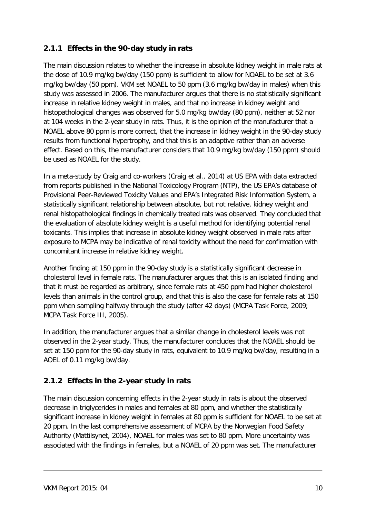#### <span id="page-9-0"></span>**2.1.1 Effects in the 90-day study in rats**

The main discussion relates to whether the increase in absolute kidney weight in male rats at the dose of 10.9 mg/kg bw/day (150 ppm) is sufficient to allow for NOAEL to be set at 3.6 mg/kg bw/day (50 ppm). VKM set NOAEL to 50 ppm (3.6 mg/kg bw/day in males) when this study was assessed in 2006. The manufacturer argues that there is no statistically significant increase in relative kidney weight in males, and that no increase in kidney weight and histopathological changes was observed for 5.0 mg/kg bw/day (80 ppm), neither at 52 nor at 104 weeks in the 2-year study in rats. Thus, it is the opinion of the manufacturer that a NOAEL above 80 ppm is more correct, that the increase in kidney weight in the 90-day study results from functional hypertrophy, and that this is an adaptive rather than an adverse effect. Based on this, the manufacturer considers that 10.9 mg/kg bw/day (150 ppm) should be used as NOAEL for the study.

In a meta-study by Craig and co-workers [\(Craig et al., 2014\)](#page-16-6) at US EPA with data extracted from reports published in the National Toxicology Program (NTP), the US EPA's database of Provisional Peer-Reviewed Toxicity Values and EPA's Integrated Risk Information System, a statistically significant relationship between absolute, but not relative, kidney weight and renal histopathological findings in chemically treated rats was observed. They concluded that the evaluation of absolute kidney weight is a useful method for identifying potential renal toxicants. This implies that increase in absolute kidney weight observed in male rats after exposure to MCPA may be indicative of renal toxicity without the need for confirmation with concomitant increase in relative kidney weight.

Another finding at 150 ppm in the 90-day study is a statistically significant decrease in cholesterol level in female rats. The manufacturer argues that this is an isolated finding and that it must be regarded as arbitrary, since female rats at 450 ppm had higher cholesterol levels than animals in the control group, and that this is also the case for female rats at 150 ppm when sampling halfway through the study (after 42 days) [\(MCPA Task Force, 2009;](#page-16-4) [MCPA Task Force III, 2005\)](#page-16-5).

In addition, the manufacturer argues that a similar change in cholesterol levels was not observed in the 2-year study. Thus, the manufacturer concludes that the NOAEL should be set at 150 ppm for the 90-day study in rats, equivalent to 10.9 mg/kg bw/day, resulting in a AOEL of 0.11 mg/kg bw/day.

### <span id="page-9-1"></span>**2.1.2 Effects in the 2-year study in rats**

The main discussion concerning effects in the 2-year study in rats is about the observed decrease in triglycerides in males and females at 80 ppm, and whether the statistically significant increase in kidney weight in females at 80 ppm is sufficient for NOAEL to be set at 20 ppm. In the last comprehensive assessment of MCPA by the Norwegian Food Safety Authority [\(Mattilsynet, 2004\)](#page-16-2), NOAEL for males was set to 80 ppm. More uncertainty was associated with the findings in females, but a NOAEL of 20 ppm was set. The manufacturer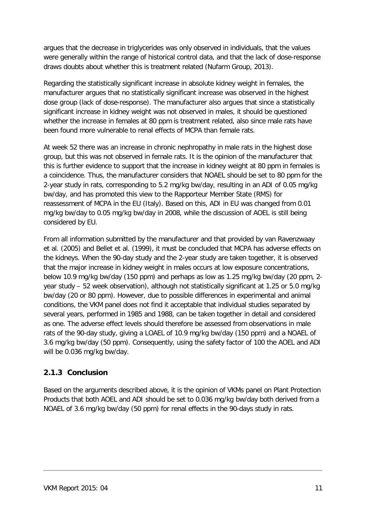argues that the decrease in triglycerides was only observed in individuals, that the values were generally within the range of historical control data, and that the lack of dose-response draws doubts about whether this is treatment related [\(Nufarm Group, 2013\)](#page-16-1).

Regarding the statistically significant increase in absolute kidney weight in females, the manufacturer argues that no statistically significant increase was observed in the highest dose group (lack of dose-response). The manufacturer also argues that since a statistically significant increase in kidney weight was not observed in males, it should be questioned whether the increase in females at 80 ppm is treatment related, also since male rats have been found more vulnerable to renal effects of MCPA than female rats.

At week 52 there was an increase in chronic nephropathy in male rats in the highest dose group, but this was not observed in female rats. It is the opinion of the manufacturer that this is further evidence to support that the increase in kidney weight at 80 ppm in females is a coincidence. Thus, the manufacturer considers that NOAEL should be set to 80 ppm for the 2-year study in rats, corresponding to 5.2 mg/kg bw/day, resulting in an ADI of 0.05 mg/kg bw/day, and has promoted this view to the Rapporteur Member State (RMS) for reassessment of MCPA in the EU (Italy). Based on this, ADI in EU was changed from 0.01 mg/kg bw/day to 0.05 mg/kg bw/day in 2008, while the discussion of AOEL is still being considered by EU.

From all information submitted by the manufacturer and that provided by [van Ravenzwaay](#page-16-7)  et al. (2005) and [Bellet et al. \(1999\),](#page-16-8) it must be concluded that MCPA has adverse effects on the kidneys. When the 90-day study and the 2-year study are taken together, it is observed that the major increase in kidney weight in males occurs at low exposure concentrations, below 10.9 mg/kg bw/day (150 ppm) and perhaps as low as 1.25 mg/kg bw/day (20 ppm, 2 year study – 52 week observation), although not statistically significant at 1.25 or 5.0 mg/kg bw/day (20 or 80 ppm). However, due to possible differences in experimental and animal conditions, the VKM panel does not find it acceptable that individual studies separated by several years, performed in 1985 and 1988, can be taken together in detail and considered as one. The adverse effect levels should therefore be assessed from observations in male rats of the 90-day study, giving a LOAEL of 10.9 mg/kg bw/day (150 ppm) and a NOAEL of 3.6 mg/kg bw/day (50 ppm). Consequently, using the safety factor of 100 the AOEL and ADI will be 0.036 mg/kg bw/day.

### <span id="page-10-0"></span>**2.1.3 Conclusion**

Based on the arguments described above, it is the opinion of VKMs panel on Plant Protection Products that both AOEL and ADI should be set to 0.036 mg/kg bw/day both derived from a NOAEL of 3.6 mg/kg bw/day (50 ppm) for renal effects in the 90-days study in rats.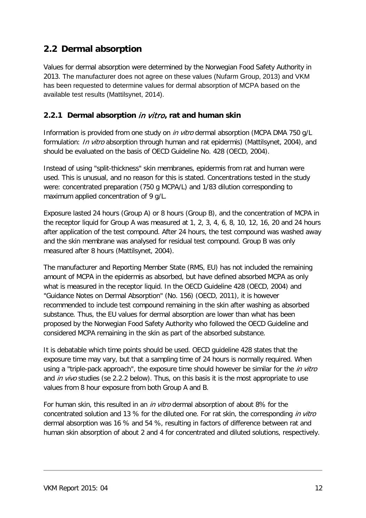## <span id="page-11-0"></span>**2.2 Dermal absorption**

Values for dermal absorption were determined by the Norwegian Food Safety Authority in 2013. The manufacturer does not agree on these values [\(Nufarm Group, 2013\)](#page-16-1) and VKM has been requested to determine values for dermal absorption of MCPA based on the available test results [\(Mattilsynet, 2014\)](#page-16-3).

#### <span id="page-11-1"></span>**2.2.1 Dermal absorption** in vitro**, rat and human skin**

Information is provided from one study on *in vitro* dermal absorption (MCPA DMA 750 g/L formulation: *In vitro* absorption through human and rat epidermis) [\(Mattilsynet, 2004\)](#page-16-2), and should be evaluated on the basis of OECD Guideline No. 428 [\(OECD, 2004\)](#page-16-9).

Instead of using "split-thickness" skin membranes, epidermis from rat and human were used. This is unusual, and no reason for this is stated. Concentrations tested in the study were: concentrated preparation (750 g MCPA/L) and 1/83 dilution corresponding to maximum applied concentration of 9 g/L.

Exposure lasted 24 hours (Group A) or 8 hours (Group B), and the concentration of MCPA in the receptor liquid for Group A was measured at 1, 2, 3, 4, 6, 8, 10, 12, 16, 20 and 24 hours after application of the test compound. After 24 hours, the test compound was washed away and the skin membrane was analysed for residual test compound. Group B was only measured after 8 hours [\(Mattilsynet, 2004\)](#page-16-2).

The manufacturer and Reporting Member State (RMS, EU) has not included the remaining amount of MCPA in the epidermis as absorbed, but have defined absorbed MCPA as only what is measured in the receptor liquid. In the OECD Guideline 428 [\(OECD, 2004\)](#page-16-9) and "Guidance Notes on Dermal Absorption" (No. 156) [\(OECD, 2011\)](#page-16-10), it is however recommended to include test compound remaining in the skin after washing as absorbed substance. Thus, the EU values for dermal absorption are lower than what has been proposed by the Norwegian Food Safety Authority who followed the OECD Guideline and considered MCPA remaining in the skin as part of the absorbed substance.

It is debatable which time points should be used. OECD guideline 428 states that the exposure time may vary, but that a sampling time of 24 hours is normally required. When using a "triple-pack approach", the exposure time should however be similar for the *in vitro* and *in vivo* studies (se 2.2.2 below). Thus, on this basis it is the most appropriate to use values from 8 hour exposure from both Group A and B.

For human skin, this resulted in an in vitro dermal absorption of about 8% for the concentrated solution and 13 % for the diluted one. For rat skin, the corresponding in vitro dermal absorption was 16 % and 54 %, resulting in factors of difference between rat and human skin absorption of about 2 and 4 for concentrated and diluted solutions, respectively.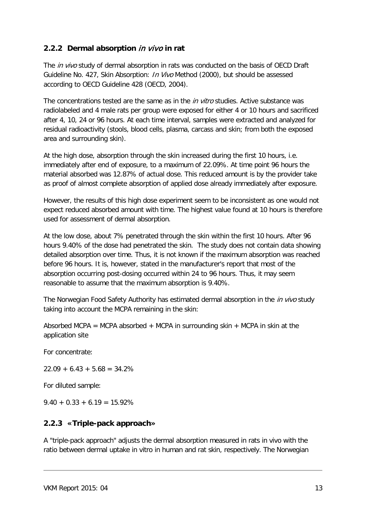#### <span id="page-12-0"></span>**2.2.2 Dermal absorption** in vivo **in rat**

The *in vivo* study of dermal absorption in rats was conducted on the basis of OECD Draft Guideline No. 427, Skin Absorption: *In Vivo* Method (2000), but should be assessed according to OECD Guideline 428 [\(OECD, 2004\)](#page-16-9).

The concentrations tested are the same as in the *in vitro* studies. Active substance was radiolabeled and 4 male rats per group were exposed for either 4 or 10 hours and sacrificed after 4, 10, 24 or 96 hours. At each time interval, samples were extracted and analyzed for residual radioactivity (stools, blood cells, plasma, carcass and skin; from both the exposed area and surrounding skin).

At the high dose, absorption through the skin increased during the first 10 hours, i.e. immediately after end of exposure, to a maximum of 22.09%. At time point 96 hours the material absorbed was 12.87% of actual dose. This reduced amount is by the provider take as proof of almost complete absorption of applied dose already immediately after exposure.

However, the results of this high dose experiment seem to be inconsistent as one would not expect reduced absorbed amount with time. The highest value found at 10 hours is therefore used for assessment of dermal absorption.

At the low dose, about 7% penetrated through the skin within the first 10 hours. After 96 hours 9.40% of the dose had penetrated the skin. The study does not contain data showing detailed absorption over time. Thus, it is not known if the maximum absorption was reached before 96 hours. It is, however, stated in the manufacturer's report that most of the absorption occurring post-dosing occurred within 24 to 96 hours. Thus, it may seem reasonable to assume that the maximum absorption is 9.40%.

The Norwegian Food Safety Authority has estimated dermal absorption in the *in vivo* study taking into account the MCPA remaining in the skin:

Absorbed MCPA = MCPA absorbed + MCPA in surrounding skin + MCPA in skin at the application site

For concentrate:

 $22.09 + 6.43 + 5.68 = 34.2%$ 

For diluted sample:

 $9.40 + 0.33 + 6.19 = 15.92%$ 

#### <span id="page-12-1"></span>**2.2.3 «Triple-pack approach»**

A "triple-pack approach" adjusts the dermal absorption measured in rats in vivo with the ratio between dermal uptake in vitro in human and rat skin, respectively. The Norwegian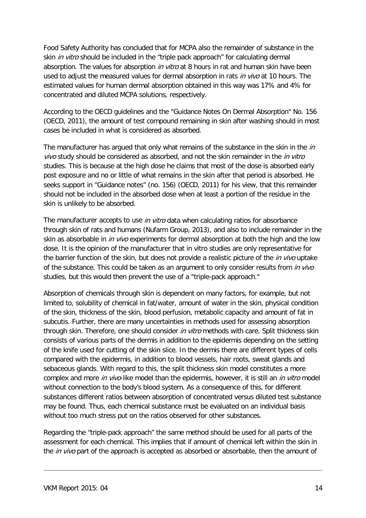Food Safety Authority has concluded that for MCPA also the remainder of substance in the skin *in vitro* should be included in the "triple pack approach" for calculating dermal absorption. The values for absorption *in vitro* at 8 hours in rat and human skin have been used to adjust the measured values for dermal absorption in rats in vivo at 10 hours. The estimated values for human dermal absorption obtained in this way was 17% and 4% for concentrated and diluted MCPA solutions, respectively.

According to the OECD guidelines and the "Guidance Notes On Dermal Absorption" No. 156 [\(OECD, 2011\)](#page-16-10), the amount of test compound remaining in skin after washing should in most cases be included in what is considered as absorbed.

The manufacturer has argued that only what remains of the substance in the skin in the  $in$ vivo study should be considered as absorbed, and not the skin remainder in the in vitro studies. This is because at the high dose he claims that most of the dose is absorbed early post exposure and no or little of what remains in the skin after that period is absorbed. He seeks support in "Guidance notes" (no. 156) [\(OECD, 2011\)](#page-16-10) for his view, that this remainder should not be included in the absorbed dose when at least a portion of the residue in the skin is unlikely to be absorbed.

The manufacturer accepts to use *in vitro* data when calculating ratios for absorbance through skin of rats and humans [\(Nufarm Group, 2013\)](#page-16-1), and also to include remainder in the skin as absorbable in *in vivo* experiments for dermal absorption at both the high and the low dose. It is the opinion of the manufacturer that in vitro studies are only representative for the barrier function of the skin, but does not provide a realistic picture of the *in vivo* uptake of the substance. This could be taken as an argument to only consider results from in vivo studies, but this would then prevent the use of a "triple-pack approach."

Absorption of chemicals through skin is dependent on many factors, for example, but not limited to, solubility of chemical in fat/water, amount of water in the skin, physical condition of the skin, thickness of the skin, blood perfusion, metabolic capacity and amount of fat in subcutis. Further, there are many uncertainties in methods used for assessing absorption through skin. Therefore, one should consider in vitro methods with care. Split thickness skin consists of various parts of the dermis in addition to the epidermis depending on the setting of the knife used for cutting of the skin slice. In the dermis there are different types of cells compared with the epidermis, in addition to blood vessels, hair roots, sweat glands and sebaceous glands. With regard to this, the split thickness skin model constitutes a more complex and more in vivo-like model than the epidermis, however, it is still an in vitro model without connection to the body's blood system. As a consequence of this, for different substances different ratios between absorption of concentrated versus diluted test substance may be found. Thus, each chemical substance must be evaluated on an individual basis without too much stress put on the ratios observed for other substances.

Regarding the "triple-pack approach" the same method should be used for all parts of the assessment for each chemical. This implies that if amount of chemical left within the skin in the *in vivo* part of the approach is accepted as absorbed or absorbable, then the amount of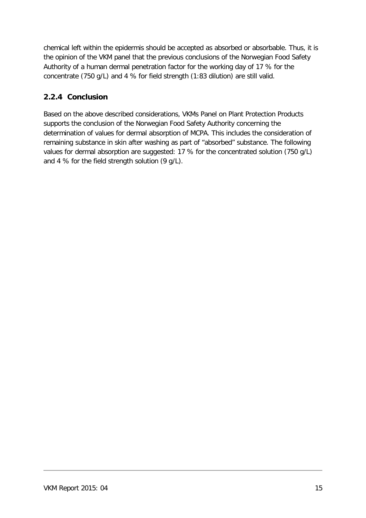chemical left within the epidermis should be accepted as absorbed or absorbable. Thus, it is the opinion of the VKM panel that the previous conclusions of the Norwegian Food Safety Authority of a human dermal penetration factor for the working day of 17 % for the concentrate (750 g/L) and 4 % for field strength (1:83 dilution) are still valid.

## <span id="page-14-0"></span>**2.2.4 Conclusion**

Based on the above described considerations, VKMs Panel on Plant Protection Products supports the conclusion of the Norwegian Food Safety Authority concerning the determination of values for dermal absorption of MCPA. This includes the consideration of remaining substance in skin after washing as part of "absorbed" substance. The following values for dermal absorption are suggested: 17 % for the concentrated solution (750 g/L) and 4 % for the field strength solution (9 g/L).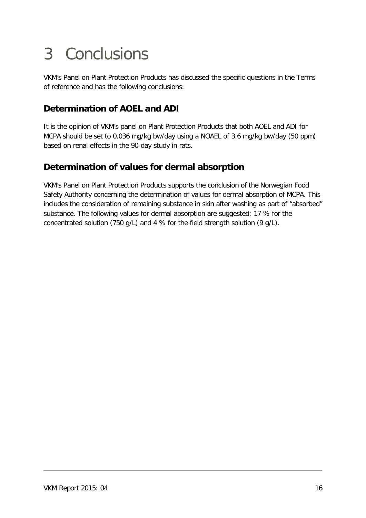## <span id="page-15-0"></span>3 Conclusions

VKM's Panel on Plant Protection Products has discussed the specific questions in the Terms of reference and has the following conclusions:

## **Determination of AOEL and ADI**

It is the opinion of VKM's panel on Plant Protection Products that both AOEL and ADI for MCPA should be set to 0.036 mg/kg bw/day using a NOAEL of 3.6 mg/kg bw/day (50 ppm) based on renal effects in the 90-day study in rats.

## **Determination of values for dermal absorption**

VKM's Panel on Plant Protection Products supports the conclusion of the Norwegian Food Safety Authority concerning the determination of values for dermal absorption of MCPA. This includes the consideration of remaining substance in skin after washing as part of "absorbed" substance. The following values for dermal absorption are suggested: 17 % for the concentrated solution (750 g/L) and 4 % for the field strength solution (9 g/L).